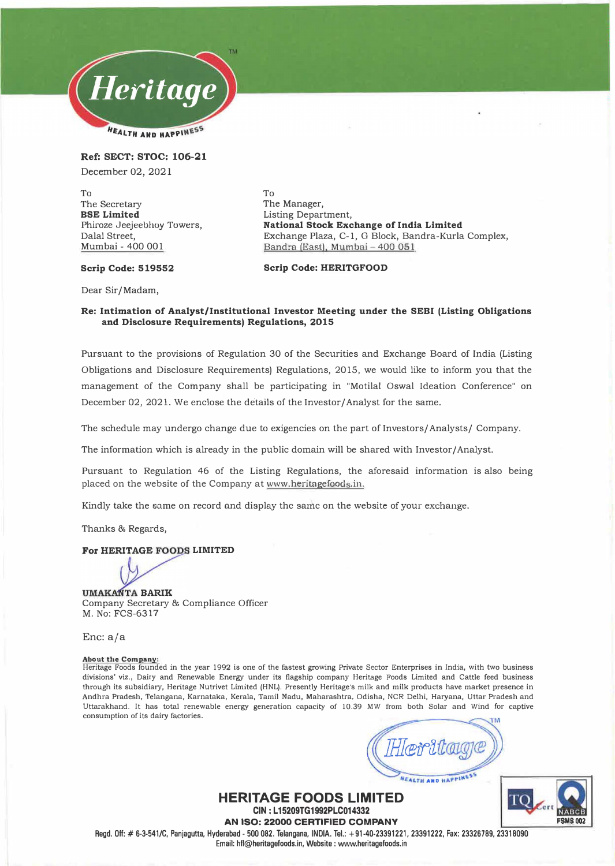

**Ref: SECT: STOC: 106-21**  December 02, 2021

To The Secretary **BSE Limited**  Phiroze Jeejeebhoy Towers, Dalal Street, Mumbai - 400 001

To The Manager, Listing Department, **National Stock Exchange of India Limited**  Exchange Plaza, C-1, G Block, Bandra-Kurla Complex, Bandra (East). Mumbai- 400 051

### Scrip Code: 519552

**Scrip Code: HERITGFOOD** 

Dear Sir/ Madam,

### **Re: Intimation of Analyst/Institutional Investor Meeting under the SEBI (Listing Obligations and Disclosure Requirements) Regulations, 2015**

Pursuant to the provisions of Regulation 30 of the Securities and Exchange Board of India (Listing Obligations and Disclosure Requirements) Regulations, 2015, we would like to inform you that the management of the Company shall be participating in "Motilal Oswal Ideation Conference" on December 02, 2021. We enclose the details of the Investor/ Analyst for the same.

The schedule may undergo change due to exigencies on the part of Investors/ Analysts/ Company.

The information which is already in the public domain will be shared with Investor/ Analyst.

Pursuant to Regulation 46 of the Listing Regulations, the aforesaid information is also being placed on the website of the Company at www.heritagefoods.in.

Kindly take the same on record and display the same on the website of your exchange.

Thanks & Regards,

### **For HERITAGE FOODS LIMITED**

**UMAKANTA BARIK** Company Secretary & Compliance Officer M. No: FCS-6317

Enc:a/a

**About the Company:**<br>Heritage Foods founded in the year 1992 is one of the fastest growing Private Sector Enterprises in India, with two busin<mark>e</mark>ss divisions' viz., Dairy and Renewable Energy under its flagship company Heritage Foods Limited and Cattle feed business through its subsidiary, Heritage Nutrivet Limited (HNL). Presently Heritage's milk and milk products have market presence in Andhra Pradesh, Telangana, Karnataka, Kerala, Tamil Nadu, Maharashtra, Odisha, NCR Delhi, Haryana, Uttar Pradesh and Uttarakhand. It has total renewable energy generation capacity of 10.39 MW from both Solar and Wind for captive consumption of its dairy factories.

ALTH AND HAPPINESS

**FSMS00-2** 

ΓО

**HERITAGE FOODS LIMITED CIN: L15209TG1992PLC014332 AN ISO: 22000 CERTIFIED COMPANY**  Regd. Off:# 6-3-541/C, Panjagutta, Hyderabad- 500 082. Telangana, INDIA. Tel.: +91-40-23391221, 23391222, Fax: 23326789, 23318090 Email: hll@heritagefoods.in, Website : www.heritagefoods.in